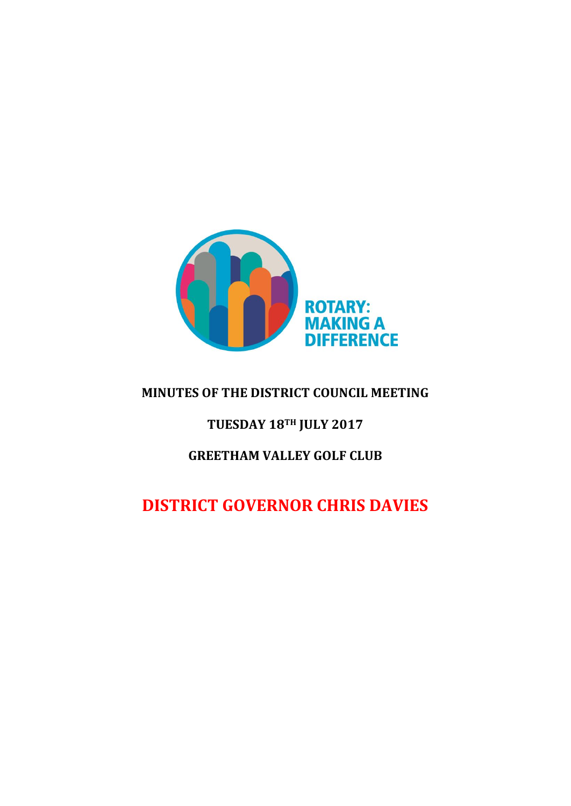

# **MINUTES OF THE DISTRICT COUNCIL MEETING**

# **TUESDAY 18TH JULY 2017**

# **GREETHAM VALLEY GOLF CLUB**

# **DISTRICT GOVERNOR CHRIS DAVIES**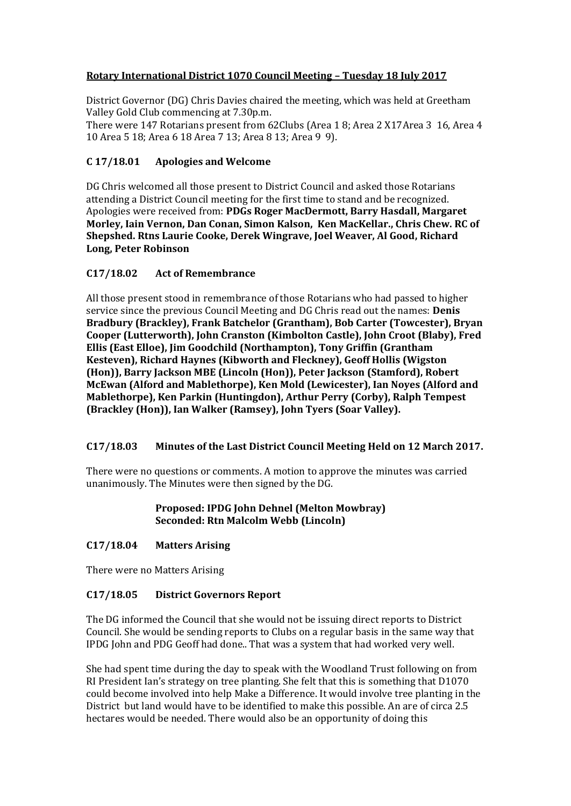# **Rotary International District 1070 Council Meeting – Tuesday 18 July 2017**

District Governor (DG) Chris Davies chaired the meeting, which was held at Greetham Valley Gold Club commencing at 7.30p.m.

There were 147 Rotarians present from 62Clubs (Area 1 8; Area 2 X17Area 3 16, Area 4 10 Area 5 18; Area 6 18 Area 7 13; Area 8 13; Area 9 9).

# **C 17/18.01 Apologies and Welcome**

DG Chris welcomed all those present to District Council and asked those Rotarians attending a District Council meeting for the first time to stand and be recognized. Apologies were received from: **PDGs Roger MacDermott, Barry Hasdall, Margaret Morley, Iain Vernon, Dan Conan, Simon Kalson, Ken MacKellar., Chris Chew. RC of Shepshed. Rtns Laurie Cooke, Derek Wingrave, Joel Weaver, Al Good, Richard Long, Peter Robinson**

# **C17/18.02 Act of Remembrance**

All those present stood in remembrance of those Rotarians who had passed to higher service since the previous Council Meeting and DG Chris read out the names: **Denis Bradbury (Brackley), Frank Batchelor (Grantham), Bob Carter (Towcester), Bryan Cooper (Lutterworth), John Cranston (Kimbolton Castle), John Croot (Blaby), Fred Ellis (East Elloe), Jim Goodchild (Northampton), Tony Griffin (Grantham Kesteven), Richard Haynes (Kibworth and Fleckney), Geoff Hollis (Wigston (Hon)), Barry Jackson MBE (Lincoln (Hon)), Peter Jackson (Stamford), Robert McEwan (Alford and Mablethorpe), Ken Mold (Lewicester), Ian Noyes (Alford and Mablethorpe), Ken Parkin (Huntingdon), Arthur Perry (Corby), Ralph Tempest (Brackley (Hon)), Ian Walker (Ramsey), John Tyers (Soar Valley).**

# **C17/18.03 Minutes of the Last District Council Meeting Held on 12 March 2017.**

There were no questions or comments. A motion to approve the minutes was carried unanimously. The Minutes were then signed by the DG.

# **Proposed: IPDG John Dehnel (Melton Mowbray) Seconded: Rtn Malcolm Webb (Lincoln)**

# **C17/18.04 Matters Arising**

There were no Matters Arising

# **C17/18.05 District Governors Report**

The DG informed the Council that she would not be issuing direct reports to District Council. She would be sending reports to Clubs on a regular basis in the same way that IPDG John and PDG Geoff had done.. That was a system that had worked very well.

She had spent time during the day to speak with the Woodland Trust following on from RI President Ian's strategy on tree planting. She felt that this is something that D1070 could become involved into help Make a Difference. It would involve tree planting in the District but land would have to be identified to make this possible. An are of circa 2.5 hectares would be needed. There would also be an opportunity of doing this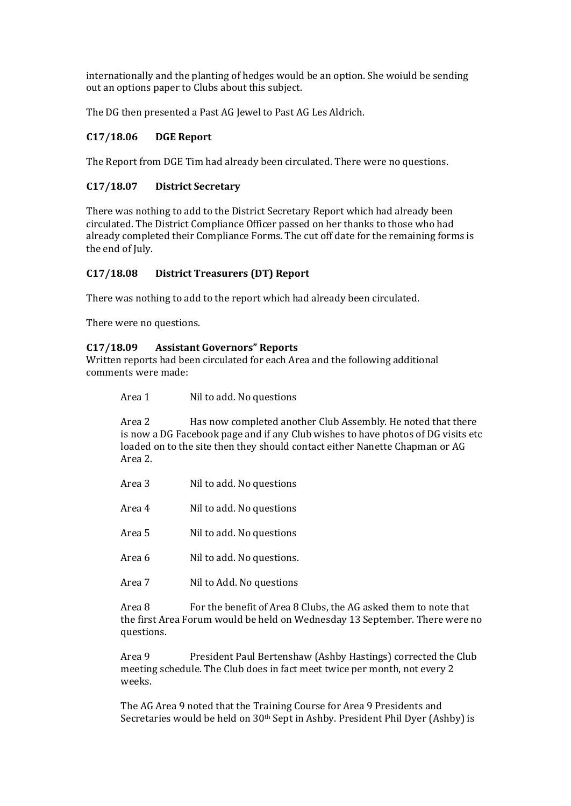internationally and the planting of hedges would be an option. She woiuld be sending out an options paper to Clubs about this subject.

The DG then presented a Past AG Jewel to Past AG Les Aldrich.

# **C17/18.06 DGE Report**

The Report from DGE Tim had already been circulated. There were no questions.

#### **C17/18.07 District Secretary**

There was nothing to add to the District Secretary Report which had already been circulated. The District Compliance Officer passed on her thanks to those who had already completed their Compliance Forms. The cut off date for the remaining forms is the end of July.

#### **C17/18.08 District Treasurers (DT) Report**

There was nothing to add to the report which had already been circulated.

There were no questions.

#### **C17/18.09 Assistant Governors" Reports**

Written reports had been circulated for each Area and the following additional comments were made:

| Area 1               | Nil to add. No questions                                                                                                                                                                                                        |
|----------------------|---------------------------------------------------------------------------------------------------------------------------------------------------------------------------------------------------------------------------------|
| Area 2<br>Area 2.    | Has now completed another Club Assembly. He noted that there<br>is now a DG Facebook page and if any Club wishes to have photos of DG visits etc<br>loaded on to the site then they should contact either Nanette Chapman or AG |
| Area 3               | Nil to add. No questions                                                                                                                                                                                                        |
| Area 4               | Nil to add. No questions                                                                                                                                                                                                        |
| Area 5               | Nil to add. No questions                                                                                                                                                                                                        |
| Area 6               | Nil to add. No questions.                                                                                                                                                                                                       |
| Area 7               | Nil to Add. No questions                                                                                                                                                                                                        |
| Area 8<br>questions. | For the benefit of Area 8 Clubs, the AG asked them to note that<br>the first Area Forum would be held on Wednesday 13 September. There were no                                                                                  |

Area 9 President Paul Bertenshaw (Ashby Hastings) corrected the Club meeting schedule. The Club does in fact meet twice per month, not every 2 weeks.

The AG Area 9 noted that the Training Course for Area 9 Presidents and Secretaries would be held on 30th Sept in Ashby. President Phil Dyer (Ashby) is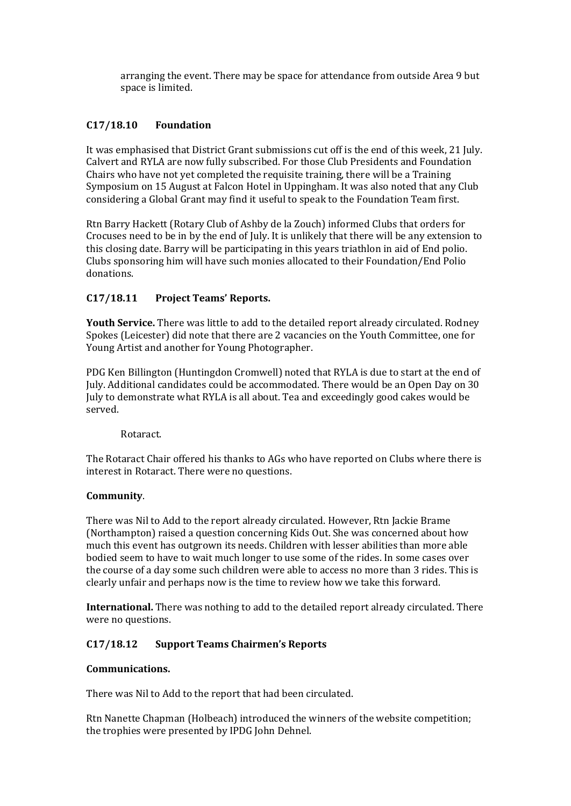arranging the event. There may be space for attendance from outside Area 9 but space is limited.

# **C17/18.10 Foundation**

It was emphasised that District Grant submissions cut off is the end of this week, 21 July. Calvert and RYLA are now fully subscribed. For those Club Presidents and Foundation Chairs who have not yet completed the requisite training, there will be a Training Symposium on 15 August at Falcon Hotel in Uppingham. It was also noted that any Club considering a Global Grant may find it useful to speak to the Foundation Team first.

Rtn Barry Hackett (Rotary Club of Ashby de la Zouch) informed Clubs that orders for Crocuses need to be in by the end of July. It is unlikely that there will be any extension to this closing date. Barry will be participating in this years triathlon in aid of End polio. Clubs sponsoring him will have such monies allocated to their Foundation/End Polio donations.

# **C17/18.11 Project Teams' Reports.**

**Youth Service.** There was little to add to the detailed report already circulated. Rodney Spokes (Leicester) did note that there are 2 vacancies on the Youth Committee, one for Young Artist and another for Young Photographer.

PDG Ken Billington (Huntingdon Cromwell) noted that RYLA is due to start at the end of July. Additional candidates could be accommodated. There would be an Open Day on 30 July to demonstrate what RYLA is all about. Tea and exceedingly good cakes would be served.

# Rotaract.

The Rotaract Chair offered his thanks to AGs who have reported on Clubs where there is interest in Rotaract. There were no questions.

# **Community**.

There was Nil to Add to the report already circulated. However, Rtn Jackie Brame (Northampton) raised a question concerning Kids Out. She was concerned about how much this event has outgrown its needs. Children with lesser abilities than more able bodied seem to have to wait much longer to use some of the rides. In some cases over the course of a day some such children were able to access no more than 3 rides. This is clearly unfair and perhaps now is the time to review how we take this forward.

**International.** There was nothing to add to the detailed report already circulated. There were no questions.

# **C17/18.12 Support Teams Chairmen's Reports**

#### **Communications.**

There was Nil to Add to the report that had been circulated.

Rtn Nanette Chapman (Holbeach) introduced the winners of the website competition; the trophies were presented by IPDG John Dehnel.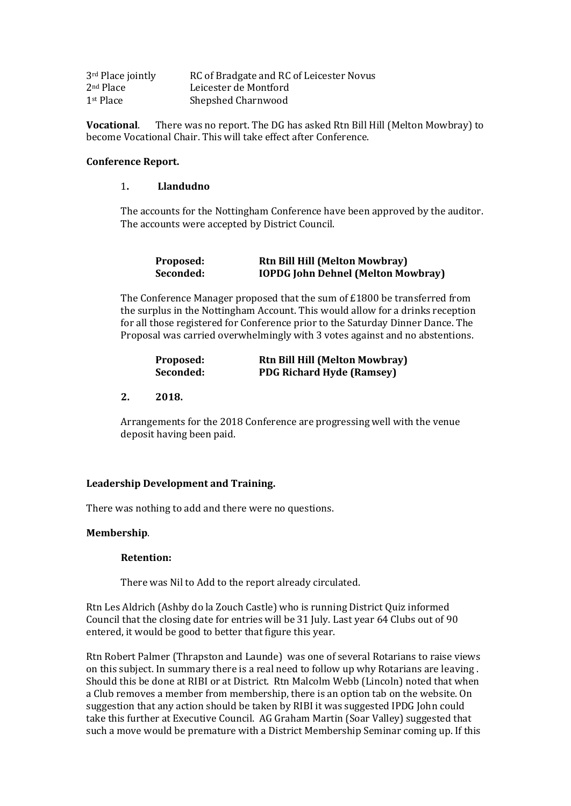| 3rd Place jointly     | RC of Bradgate and RC of Leicester Novus |
|-----------------------|------------------------------------------|
| 2 <sup>nd</sup> Place | Leicester de Montford                    |
| 1 <sup>st</sup> Place | Shepshed Charnwood                       |

**Vocational**. There was no report. The DG has asked Rtn Bill Hill (Melton Mowbray) to become Vocational Chair. This will take effect after Conference.

#### **Conference Report.**

#### 1**. Llandudno**

The accounts for the Nottingham Conference have been approved by the auditor. The accounts were accepted by District Council.

# **Proposed: Rtn Bill Hill (Melton Mowbray) Seconded: IOPDG John Dehnel (Melton Mowbray)**

The Conference Manager proposed that the sum of £1800 be transferred from the surplus in the Nottingham Account. This would allow for a drinks reception for all those registered for Conference prior to the Saturday Dinner Dance. The Proposal was carried overwhelmingly with 3 votes against and no abstentions.

| Proposed: | <b>Rtn Bill Hill (Melton Mowbray)</b> |
|-----------|---------------------------------------|
| Seconded: | <b>PDG Richard Hyde (Ramsey)</b>      |

#### **2. 2018.**

Arrangements for the 2018 Conference are progressing well with the venue deposit having been paid.

#### **Leadership Development and Training.**

There was nothing to add and there were no questions.

#### **Membership**.

#### **Retention:**

There was Nil to Add to the report already circulated.

Rtn Les Aldrich (Ashby do la Zouch Castle) who is running District Quiz informed Council that the closing date for entries will be 31 July. Last year 64 Clubs out of 90 entered, it would be good to better that figure this year.

Rtn Robert Palmer (Thrapston and Launde) was one of several Rotarians to raise views on this subject. In summary there is a real need to follow up why Rotarians are leaving . Should this be done at RIBI or at District. Rtn Malcolm Webb (Lincoln) noted that when a Club removes a member from membership, there is an option tab on the website. On suggestion that any action should be taken by RIBI it was suggested IPDG John could take this further at Executive Council. AG Graham Martin (Soar Valley) suggested that such a move would be premature with a District Membership Seminar coming up. If this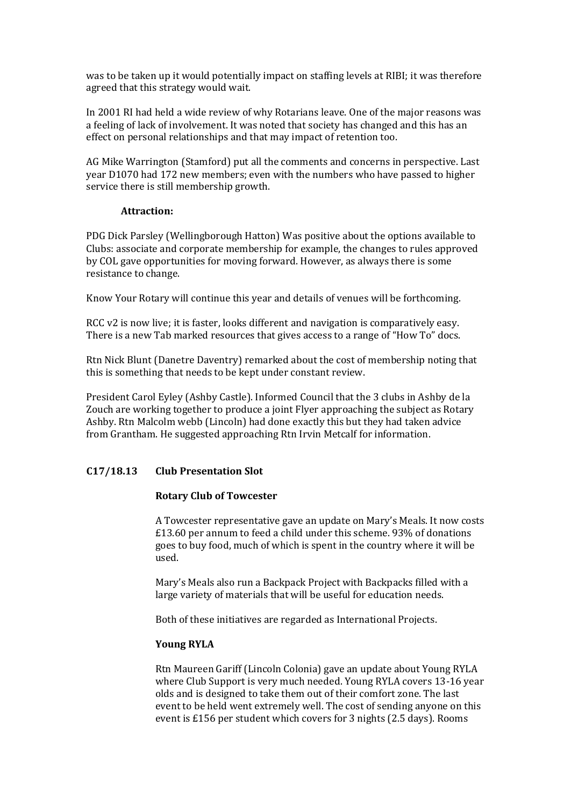was to be taken up it would potentially impact on staffing levels at RIBI; it was therefore agreed that this strategy would wait.

In 2001 RI had held a wide review of why Rotarians leave. One of the major reasons was a feeling of lack of involvement. It was noted that society has changed and this has an effect on personal relationships and that may impact of retention too.

AG Mike Warrington (Stamford) put all the comments and concerns in perspective. Last year D1070 had 172 new members; even with the numbers who have passed to higher service there is still membership growth.

#### **Attraction:**

PDG Dick Parsley (Wellingborough Hatton) Was positive about the options available to Clubs: associate and corporate membership for example, the changes to rules approved by COL gave opportunities for moving forward. However, as always there is some resistance to change.

Know Your Rotary will continue this year and details of venues will be forthcoming.

RCC v2 is now live; it is faster, looks different and navigation is comparatively easy. There is a new Tab marked resources that gives access to a range of "How To" docs.

Rtn Nick Blunt (Danetre Daventry) remarked about the cost of membership noting that this is something that needs to be kept under constant review.

President Carol Eyley (Ashby Castle). Informed Council that the 3 clubs in Ashby de la Zouch are working together to produce a joint Flyer approaching the subject as Rotary Ashby. Rtn Malcolm webb (Lincoln) had done exactly this but they had taken advice from Grantham. He suggested approaching Rtn Irvin Metcalf for information.

#### **C17/18.13 Club Presentation Slot**

#### **Rotary Club of Towcester**

A Towcester representative gave an update on Mary's Meals. It now costs £13.60 per annum to feed a child under this scheme. 93% of donations goes to buy food, much of which is spent in the country where it will be used.

Mary's Meals also run a Backpack Project with Backpacks filled with a large variety of materials that will be useful for education needs.

Both of these initiatives are regarded as International Projects.

#### **Young RYLA**

Rtn Maureen Gariff (Lincoln Colonia) gave an update about Young RYLA where Club Support is very much needed. Young RYLA covers 13-16 year olds and is designed to take them out of their comfort zone. The last event to be held went extremely well. The cost of sending anyone on this event is £156 per student which covers for 3 nights (2.5 days). Rooms